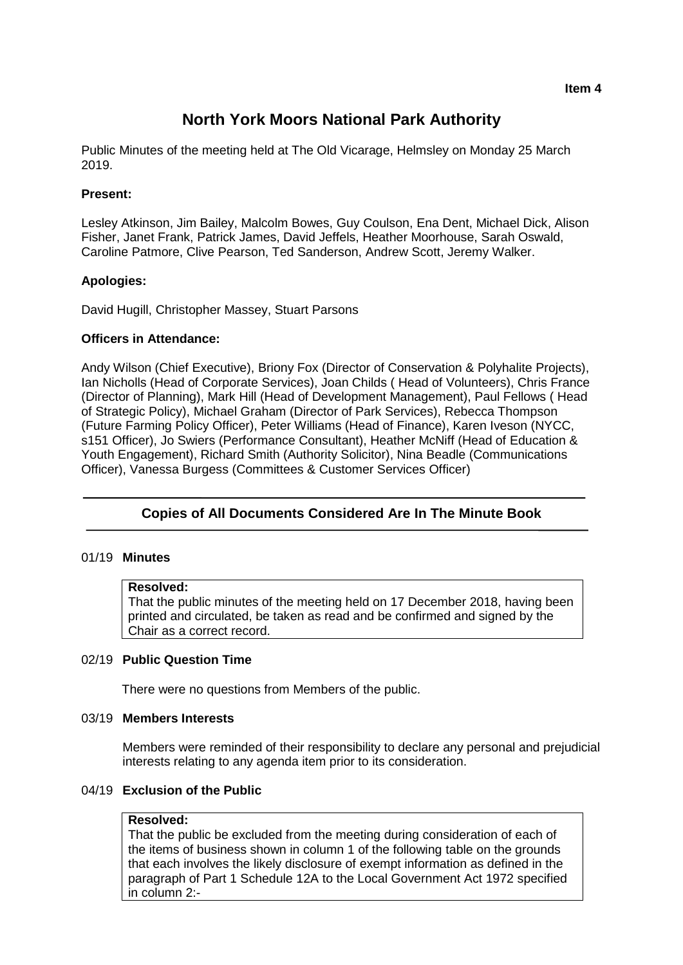#### **Item 4**

# **North York Moors National Park Authority**

Public Minutes of the meeting held at The Old Vicarage, Helmsley on Monday 25 March 2019.

## **Present:**

Lesley Atkinson, Jim Bailey, Malcolm Bowes, Guy Coulson, Ena Dent, Michael Dick, Alison Fisher, Janet Frank, Patrick James, David Jeffels, Heather Moorhouse, Sarah Oswald, Caroline Patmore, Clive Pearson, Ted Sanderson, Andrew Scott, Jeremy Walker.

## **Apologies:**

David Hugill, Christopher Massey, Stuart Parsons

## **Officers in Attendance:**

Andy Wilson (Chief Executive), Briony Fox (Director of Conservation & Polyhalite Projects), Ian Nicholls (Head of Corporate Services), Joan Childs ( Head of Volunteers), Chris France (Director of Planning), Mark Hill (Head of Development Management), Paul Fellows ( Head of Strategic Policy), Michael Graham (Director of Park Services), Rebecca Thompson (Future Farming Policy Officer), Peter Williams (Head of Finance), Karen Iveson (NYCC, s151 Officer), Jo Swiers (Performance Consultant), Heather McNiff (Head of Education & Youth Engagement), Richard Smith (Authority Solicitor), Nina Beadle (Communications Officer), Vanessa Burgess (Committees & Customer Services Officer)

## **Copies of All Documents Considered Are In The Minute Book**

## 01/19 **Minutes**

#### **Resolved:**

That the public minutes of the meeting held on 17 December 2018, having been printed and circulated, be taken as read and be confirmed and signed by the Chair as a correct record.

## 02/19 **Public Question Time**

There were no questions from Members of the public.

#### 03/19 **Members Interests**

Members were reminded of their responsibility to declare any personal and prejudicial interests relating to any agenda item prior to its consideration.

## 04/19 **Exclusion of the Public**

#### **Resolved:**

That the public be excluded from the meeting during consideration of each of the items of business shown in column 1 of the following table on the grounds that each involves the likely disclosure of exempt information as defined in the paragraph of Part 1 Schedule 12A to the Local Government Act 1972 specified in column 2:-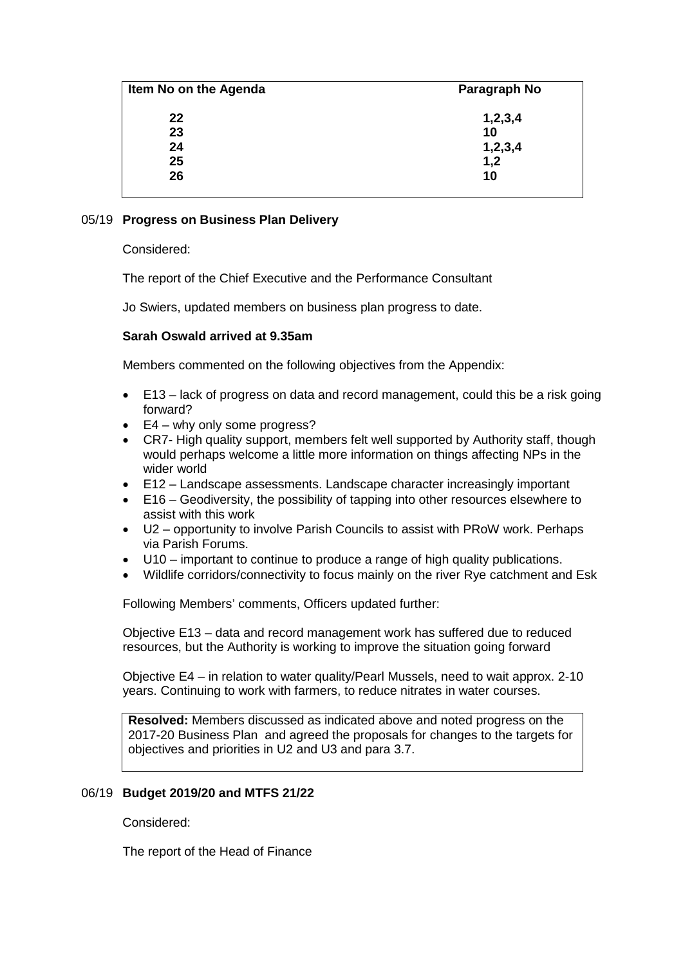| Item No on the Agenda | Paragraph No |
|-----------------------|--------------|
| 22                    | 1,2,3,4      |
| 23                    | 10           |
| 24                    | 1,2,3,4      |
| 25                    | 1,2          |
| 26                    | 10           |

## 05/19 **Progress on Business Plan Delivery**

Considered:

The report of the Chief Executive and the Performance Consultant

Jo Swiers, updated members on business plan progress to date.

## **Sarah Oswald arrived at 9.35am**

Members commented on the following objectives from the Appendix:

- E13 lack of progress on data and record management, could this be a risk going forward?
- E4 why only some progress?
- CR7- High quality support, members felt well supported by Authority staff, though would perhaps welcome a little more information on things affecting NPs in the wider world
- E12 Landscape assessments. Landscape character increasingly important
- E16 Geodiversity, the possibility of tapping into other resources elsewhere to assist with this work
- U2 opportunity to involve Parish Councils to assist with PRoW work. Perhaps via Parish Forums.
- U10 important to continue to produce a range of high quality publications.
- Wildlife corridors/connectivity to focus mainly on the river Rye catchment and Esk

Following Members' comments, Officers updated further:

Objective E13 – data and record management work has suffered due to reduced resources, but the Authority is working to improve the situation going forward

Objective E4 – in relation to water quality/Pearl Mussels, need to wait approx. 2-10 years. Continuing to work with farmers, to reduce nitrates in water courses.

**Resolved:** Members discussed as indicated above and noted progress on the 2017-20 Business Plan and agreed the proposals for changes to the targets for objectives and priorities in U2 and U3 and para 3.7.

## 06/19 **Budget 2019/20 and MTFS 21/22**

Considered:

The report of the Head of Finance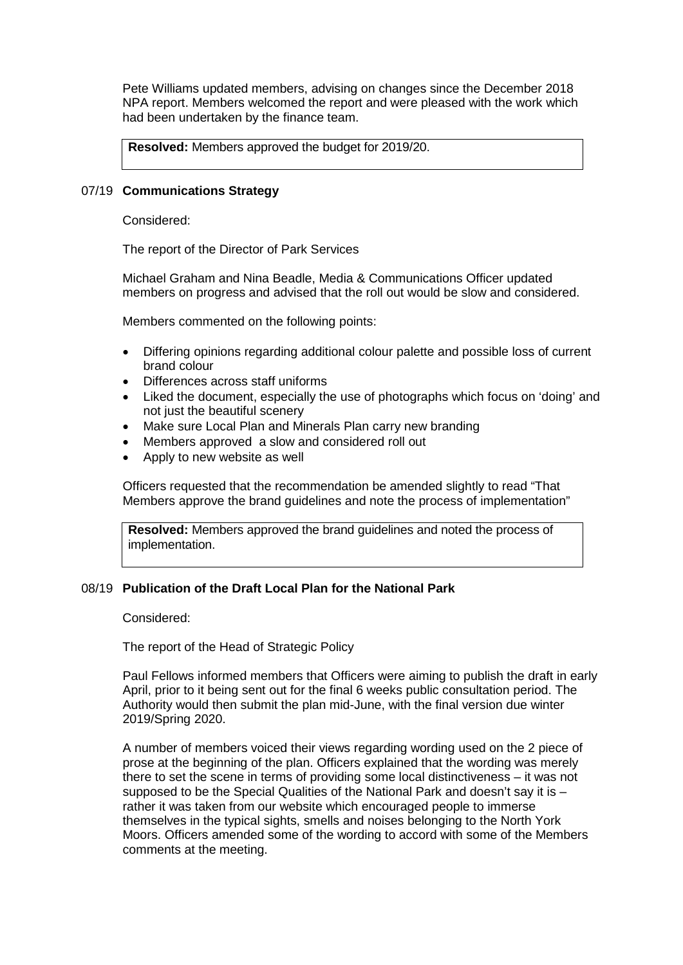Pete Williams updated members, advising on changes since the December 2018 NPA report. Members welcomed the report and were pleased with the work which had been undertaken by the finance team.

**Resolved:** Members approved the budget for 2019/20.

#### 07/19 **Communications Strategy**

Considered:

The report of the Director of Park Services

Michael Graham and Nina Beadle, Media & Communications Officer updated members on progress and advised that the roll out would be slow and considered.

Members commented on the following points:

- Differing opinions regarding additional colour palette and possible loss of current brand colour
- Differences across staff uniforms
- Liked the document, especially the use of photographs which focus on 'doing' and not just the beautiful scenery
- Make sure Local Plan and Minerals Plan carry new branding
- Members approved a slow and considered roll out
- Apply to new website as well

Officers requested that the recommendation be amended slightly to read "That Members approve the brand guidelines and note the process of implementation"

**Resolved:** Members approved the brand guidelines and noted the process of implementation.

## 08/19 **Publication of the Draft Local Plan for the National Park**

Considered:

The report of the Head of Strategic Policy

Paul Fellows informed members that Officers were aiming to publish the draft in early April, prior to it being sent out for the final 6 weeks public consultation period. The Authority would then submit the plan mid-June, with the final version due winter 2019/Spring 2020.

A number of members voiced their views regarding wording used on the 2 piece of prose at the beginning of the plan. Officers explained that the wording was merely there to set the scene in terms of providing some local distinctiveness – it was not supposed to be the Special Qualities of the National Park and doesn't say it is  $$ rather it was taken from our website which encouraged people to immerse themselves in the typical sights, smells and noises belonging to the North York Moors. Officers amended some of the wording to accord with some of the Members comments at the meeting.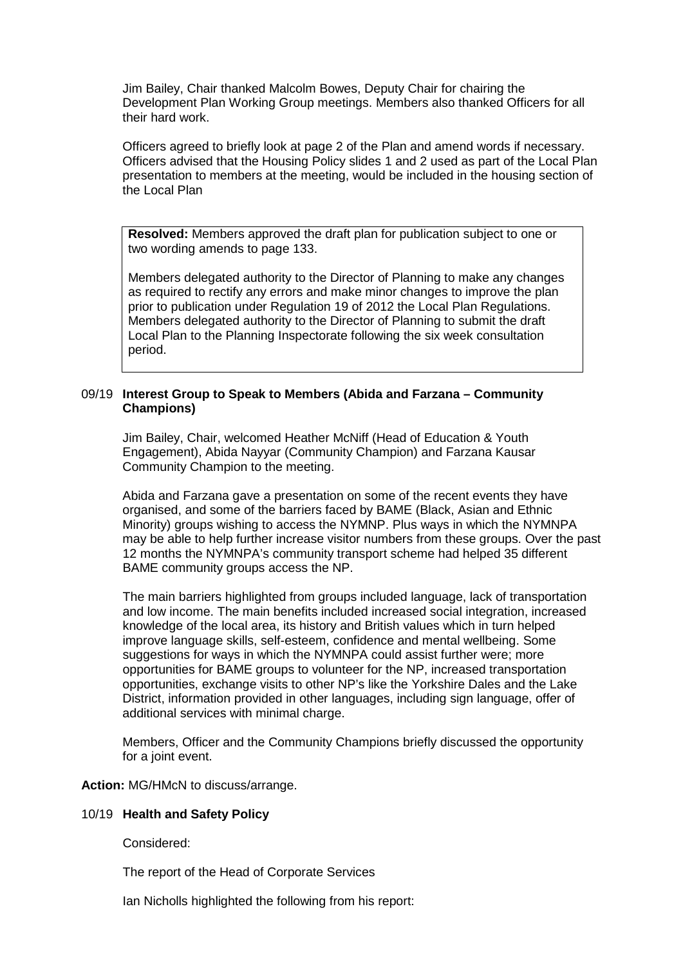Jim Bailey, Chair thanked Malcolm Bowes, Deputy Chair for chairing the Development Plan Working Group meetings. Members also thanked Officers for all their hard work.

Officers agreed to briefly look at page 2 of the Plan and amend words if necessary. Officers advised that the Housing Policy slides 1 and 2 used as part of the Local Plan presentation to members at the meeting, would be included in the housing section of the Local Plan

**Resolved:** Members approved the draft plan for publication subject to one or two wording amends to page 133.

Members delegated authority to the Director of Planning to make any changes as required to rectify any errors and make minor changes to improve the plan prior to publication under Regulation 19 of 2012 the Local Plan Regulations. Members delegated authority to the Director of Planning to submit the draft Local Plan to the Planning Inspectorate following the six week consultation period.

#### 09/19 **Interest Group to Speak to Members (Abida and Farzana – Community Champions)**

Jim Bailey, Chair, welcomed Heather McNiff (Head of Education & Youth Engagement), Abida Nayyar (Community Champion) and Farzana Kausar Community Champion to the meeting.

Abida and Farzana gave a presentation on some of the recent events they have organised, and some of the barriers faced by BAME (Black, Asian and Ethnic Minority) groups wishing to access the NYMNP. Plus ways in which the NYMNPA may be able to help further increase visitor numbers from these groups. Over the past 12 months the NYMNPA's community transport scheme had helped 35 different BAME community groups access the NP.

The main barriers highlighted from groups included language, lack of transportation and low income. The main benefits included increased social integration, increased knowledge of the local area, its history and British values which in turn helped improve language skills, self-esteem, confidence and mental wellbeing. Some suggestions for ways in which the NYMNPA could assist further were; more opportunities for BAME groups to volunteer for the NP, increased transportation opportunities, exchange visits to other NP's like the Yorkshire Dales and the Lake District, information provided in other languages, including sign language, offer of additional services with minimal charge.

Members, Officer and the Community Champions briefly discussed the opportunity for a joint event.

**Action:** MG/HMcN to discuss/arrange.

#### 10/19 **Health and Safety Policy**

Considered:

The report of the Head of Corporate Services

Ian Nicholls highlighted the following from his report: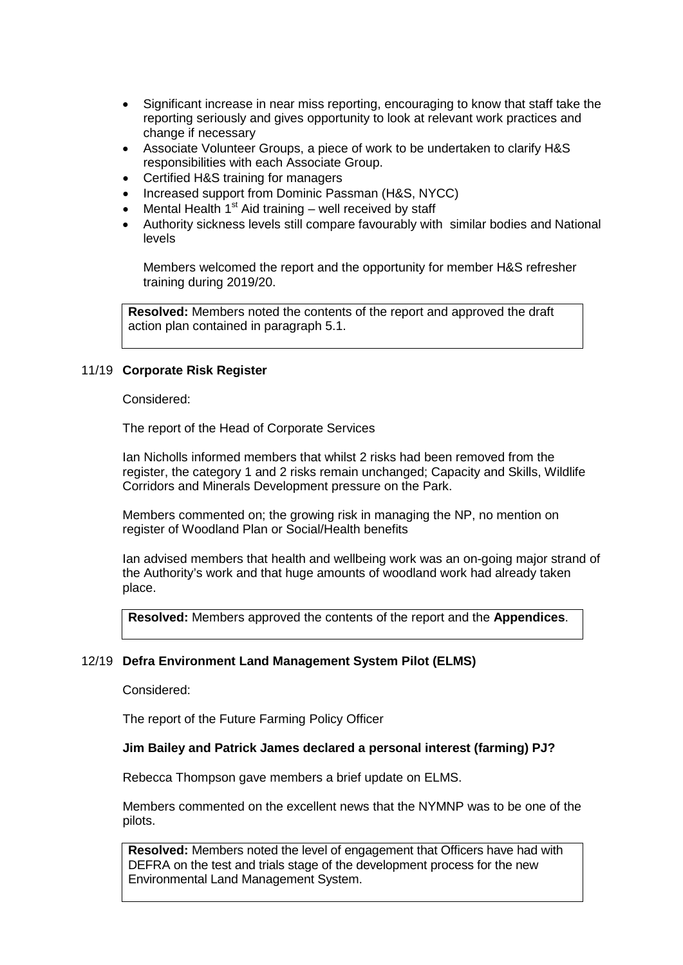- Significant increase in near miss reporting, encouraging to know that staff take the reporting seriously and gives opportunity to look at relevant work practices and change if necessary
- Associate Volunteer Groups, a piece of work to be undertaken to clarify H&S responsibilities with each Associate Group.
- Certified H&S training for managers
- Increased support from Dominic Passman (H&S, NYCC)
- Mental Health  $1<sup>st</sup>$  Aid training well received by staff
- Authority sickness levels still compare favourably with similar bodies and National levels

Members welcomed the report and the opportunity for member H&S refresher training during 2019/20.

**Resolved:** Members noted the contents of the report and approved the draft action plan contained in paragraph 5.1.

#### 11/19 **Corporate Risk Register**

Considered:

The report of the Head of Corporate Services

Ian Nicholls informed members that whilst 2 risks had been removed from the register, the category 1 and 2 risks remain unchanged; Capacity and Skills, Wildlife Corridors and Minerals Development pressure on the Park.

Members commented on; the growing risk in managing the NP, no mention on register of Woodland Plan or Social/Health benefits

Ian advised members that health and wellbeing work was an on-going major strand of the Authority's work and that huge amounts of woodland work had already taken place.

**Resolved:** Members approved the contents of the report and the **Appendices**.

#### 12/19 **Defra Environment Land Management System Pilot (ELMS)**

Considered:

The report of the Future Farming Policy Officer

#### **Jim Bailey and Patrick James declared a personal interest (farming) PJ?**

Rebecca Thompson gave members a brief update on ELMS.

Members commented on the excellent news that the NYMNP was to be one of the pilots.

**Resolved:** Members noted the level of engagement that Officers have had with DEFRA on the test and trials stage of the development process for the new Environmental Land Management System.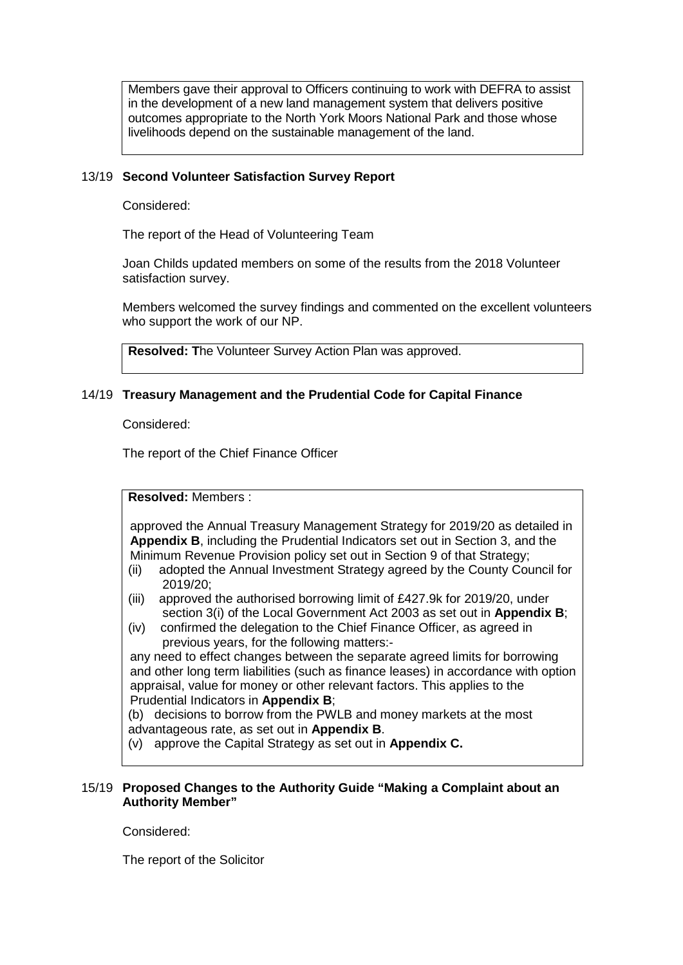Members gave their approval to Officers continuing to work with DEFRA to assist in the development of a new land management system that delivers positive outcomes appropriate to the North York Moors National Park and those whose livelihoods depend on the sustainable management of the land.

## 13/19 **Second Volunteer Satisfaction Survey Report**

Considered:

The report of the Head of Volunteering Team

Joan Childs updated members on some of the results from the 2018 Volunteer satisfaction survey.

Members welcomed the survey findings and commented on the excellent volunteers who support the work of our NP.

**Resolved: T**he Volunteer Survey Action Plan was approved.

## 14/19 **Treasury Management and the Prudential Code for Capital Finance**

Considered:

The report of the Chief Finance Officer

**Resolved:** Members :

approved the Annual Treasury Management Strategy for 2019/20 as detailed in **Appendix B**, including the Prudential Indicators set out in Section 3, and the Minimum Revenue Provision policy set out in Section 9 of that Strategy;

- (ii) adopted the Annual Investment Strategy agreed by the County Council for 2019/20;
- (iii) approved the authorised borrowing limit of £427.9k for 2019/20, under section 3(i) of the Local Government Act 2003 as set out in **Appendix B**;
- (iv) confirmed the delegation to the Chief Finance Officer, as agreed in previous years, for the following matters:-

any need to effect changes between the separate agreed limits for borrowing and other long term liabilities (such as finance leases) in accordance with option appraisal, value for money or other relevant factors. This applies to the Prudential Indicators in **Appendix B**;

(b) decisions to borrow from the PWLB and money markets at the most advantageous rate, as set out in **Appendix B**.

(v) approve the Capital Strategy as set out in **Appendix C.**

#### 15/19 **Proposed Changes to the Authority Guide "Making a Complaint about an Authority Member"**

Considered:

The report of the Solicitor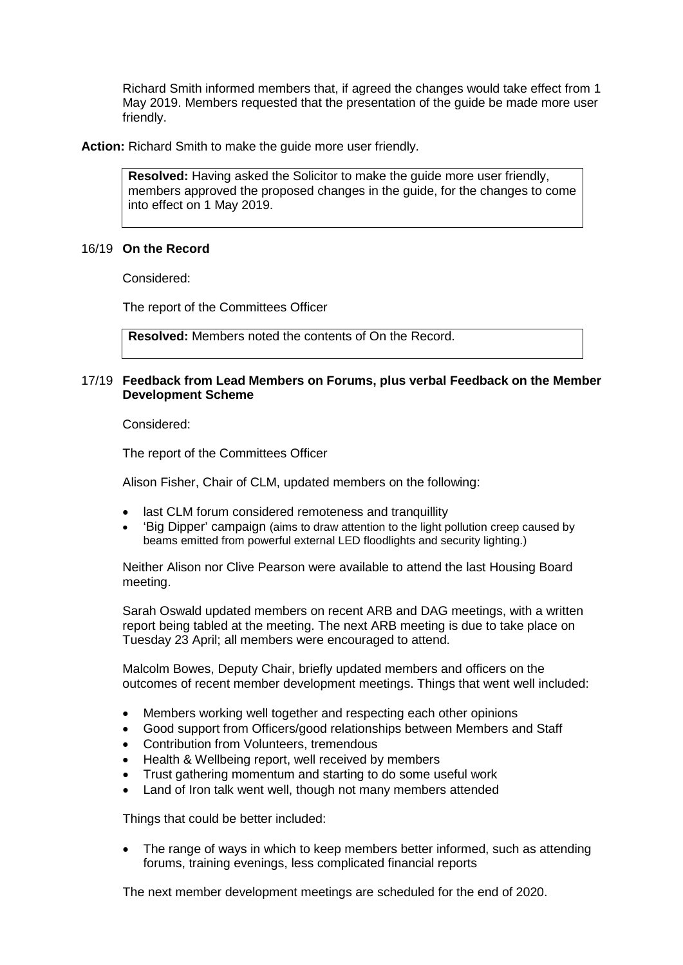Richard Smith informed members that, if agreed the changes would take effect from 1 May 2019. Members requested that the presentation of the guide be made more user friendly.

**Action:** Richard Smith to make the guide more user friendly.

**Resolved:** Having asked the Solicitor to make the guide more user friendly, members approved the proposed changes in the guide, for the changes to come into effect on 1 May 2019.

#### 16/19 **On the Record**

Considered:

The report of the Committees Officer

**Resolved:** Members noted the contents of On the Record.

#### 17/19 **Feedback from Lead Members on Forums, plus verbal Feedback on the Member Development Scheme**

Considered:

The report of the Committees Officer

Alison Fisher, Chair of CLM, updated members on the following:

- last CLM forum considered remoteness and tranquillity
- 'Big Dipper' campaign (aims to draw attention to the light pollution creep caused by beams emitted from powerful external LED floodlights and security lighting.)

Neither Alison nor Clive Pearson were available to attend the last Housing Board meeting.

Sarah Oswald updated members on recent ARB and DAG meetings, with a written report being tabled at the meeting. The next ARB meeting is due to take place on Tuesday 23 April; all members were encouraged to attend.

Malcolm Bowes, Deputy Chair, briefly updated members and officers on the outcomes of recent member development meetings. Things that went well included:

- Members working well together and respecting each other opinions
- Good support from Officers/good relationships between Members and Staff
- Contribution from Volunteers, tremendous
- Health & Wellbeing report, well received by members
- Trust gathering momentum and starting to do some useful work
- Land of Iron talk went well, though not many members attended

Things that could be better included:

• The range of ways in which to keep members better informed, such as attending forums, training evenings, less complicated financial reports

The next member development meetings are scheduled for the end of 2020.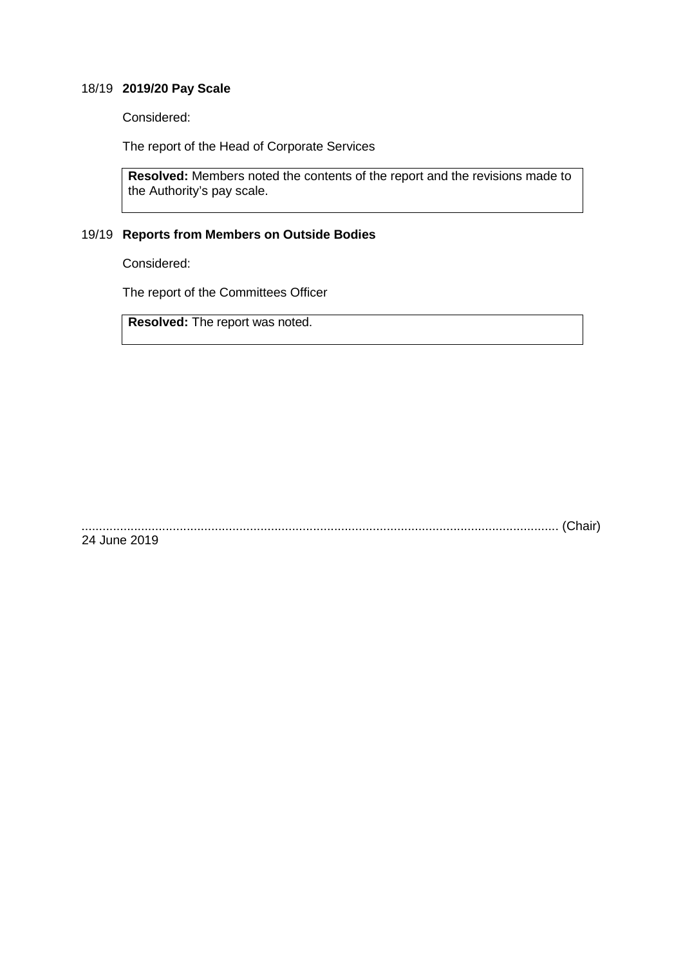## 18/19 **2019/20 Pay Scale**

Considered:

The report of the Head of Corporate Services

**Resolved:** Members noted the contents of the report and the revisions made to the Authority's pay scale.

## 19/19 **Reports from Members on Outside Bodies**

Considered:

The report of the Committees Officer

**Resolved:** The report was noted.

........................................................................................................................................ (Chair) 24 June 2019